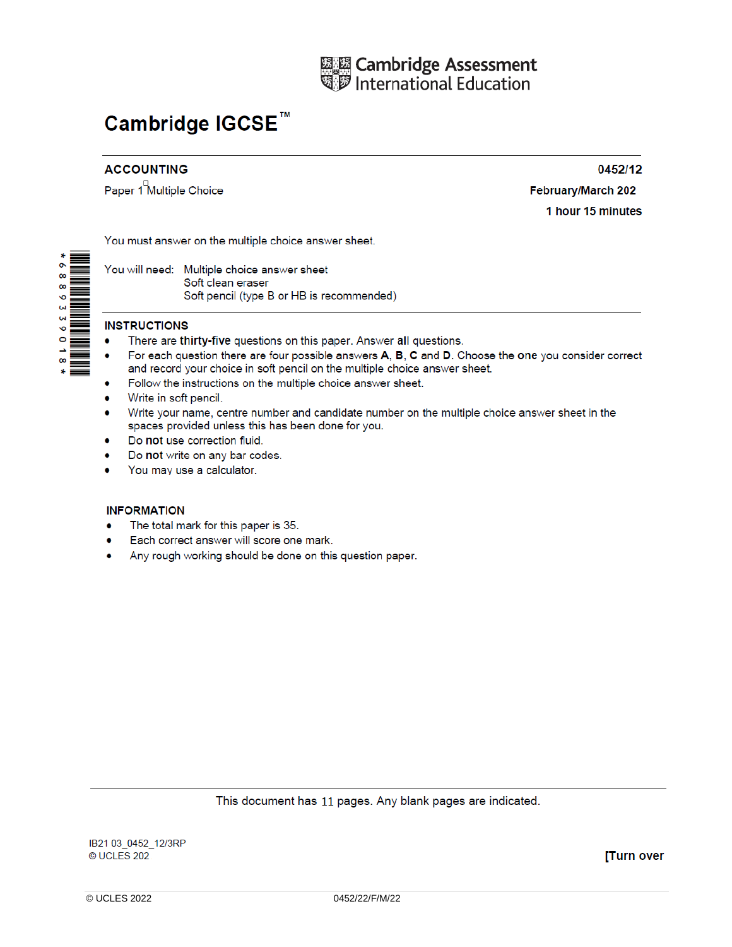

# Cambridge IGCSE<sup>™</sup>

## **ACCOUNTING**

Paper 1<sup>D</sup> Multiple Choice

February/March 202 1 hour 15 minutes

0452/12

You must answer on the multiple choice answer sheet.

You will need: Multiple choice answer sheet Soft clean eraser Soft pencil (type B or HB is recommended)

### **INSTRUCTIONS**

- There are thirty-five questions on this paper. Answer all questions.
- For each question there are four possible answers A, B, C and D. Choose the one you consider correct and record your choice in soft pencil on the multiple choice answer sheet.
- Follow the instructions on the multiple choice answer sheet.
- Write in soft pencil.
- Write your name, centre number and candidate number on the multiple choice answer sheet in the spaces provided unless this has been done for you.
- Do not use correction fluid.
- Do not write on any bar codes.
- You may use a calculator.

#### **INFORMATION**

- The total mark for this paper is 35.
- Each correct answer will score one mark.
- Any rough working should be done on this question paper.

#### This document has 11 pages. Any blank pages are indicated.

[Turn over

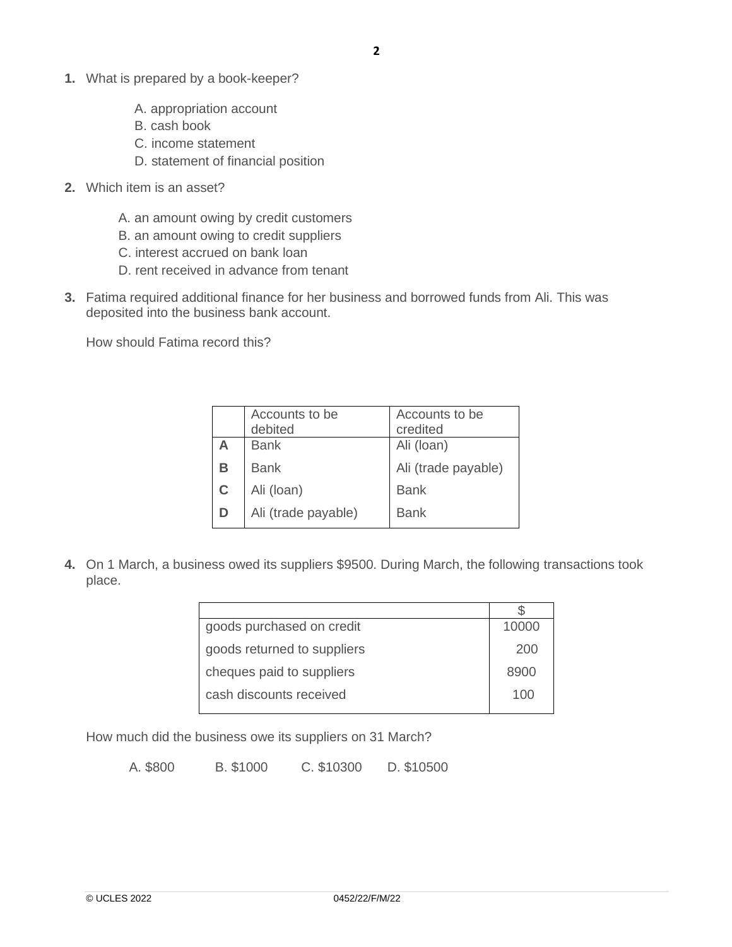- **1.** What is prepared by a book-keeper?
	- A. appropriation account
	- B. cash book
	- C. income statement
	- D. statement of financial position
- **2.** Which item is an asset?
	- A. an amount owing by credit customers
	- B. an amount owing to credit suppliers
	- C. interest accrued on bank loan
	- D. rent received in advance from tenant
- **3.** Fatima required additional finance for her business and borrowed funds from Ali. This was deposited into the business bank account.

How should Fatima record this?

|   | Accounts to be<br>debited | Accounts to be<br>credited |
|---|---------------------------|----------------------------|
| A | <b>Bank</b>               | Ali (loan)                 |
| в | <b>Bank</b>               | Ali (trade payable)        |
| C | Ali (loan)                | <b>Bank</b>                |
| D | Ali (trade payable)       | Bank                       |
|   |                           |                            |

**4.** On 1 March, a business owed its suppliers \$9500. During March, the following transactions took place.

| goods purchased on credit   | 10000 |
|-----------------------------|-------|
| goods returned to suppliers | 200   |
| cheques paid to suppliers   | 8900  |
| cash discounts received     | 100   |

How much did the business owe its suppliers on 31 March?

A. \$800 B. \$1000 C. \$10300 D. \$10500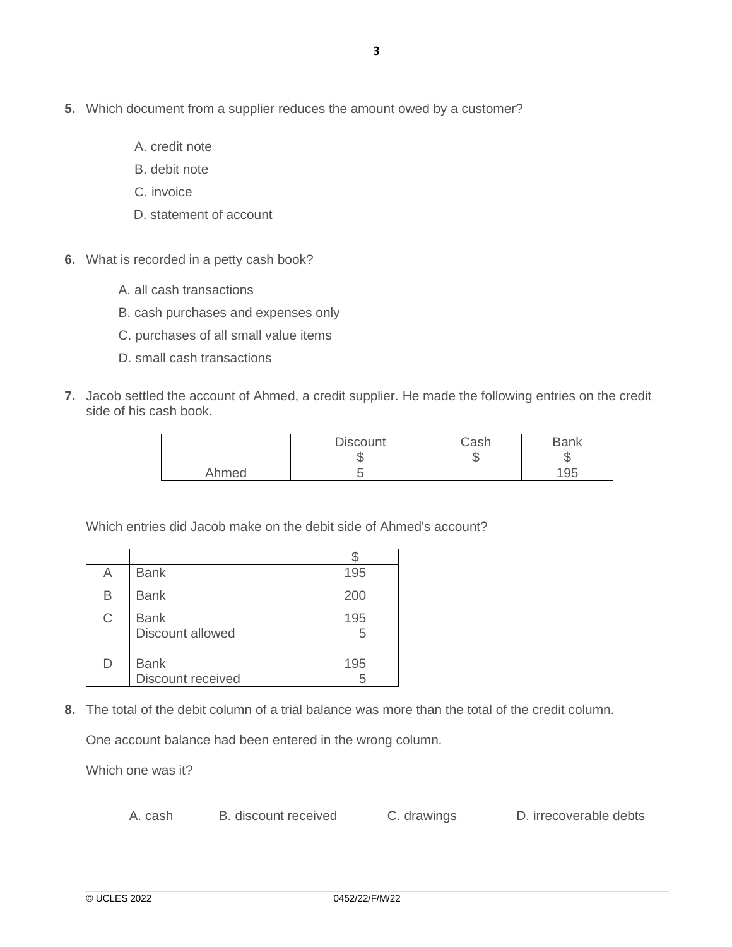- A. credit note
- B. debit note
- C. invoice
- D. statement of account
- **6.** What is recorded in a petty cash book?
	- A. all cash transactions
	- B. cash purchases and expenses only
	- C. purchases of all small value items
	- D. small cash transactions
- **7.** Jacob settled the account of Ahmed, a credit supplier. He made the following entries on the credit side of his cash book.

|       | <b>Discount</b> | Cash<br>៶៲ | <b>Bank</b> |
|-------|-----------------|------------|-------------|
| Ahmed |                 |            | 195         |

Which entries did Jacob make on the debit side of Ahmed's account?

| Α           | <b>Bank</b>                      | 195      |
|-------------|----------------------------------|----------|
| В           | <b>Bank</b>                      | 200      |
| $\mathsf C$ | <b>Bank</b><br>Discount allowed  | 195<br>5 |
| D           | <b>Bank</b><br>Discount received | 195<br>5 |

**8.** The total of the debit column of a trial balance was more than the total of the credit column.

One account balance had been entered in the wrong column.

Which one was it?

A. cash B. discount received C. drawings D. irrecoverable debts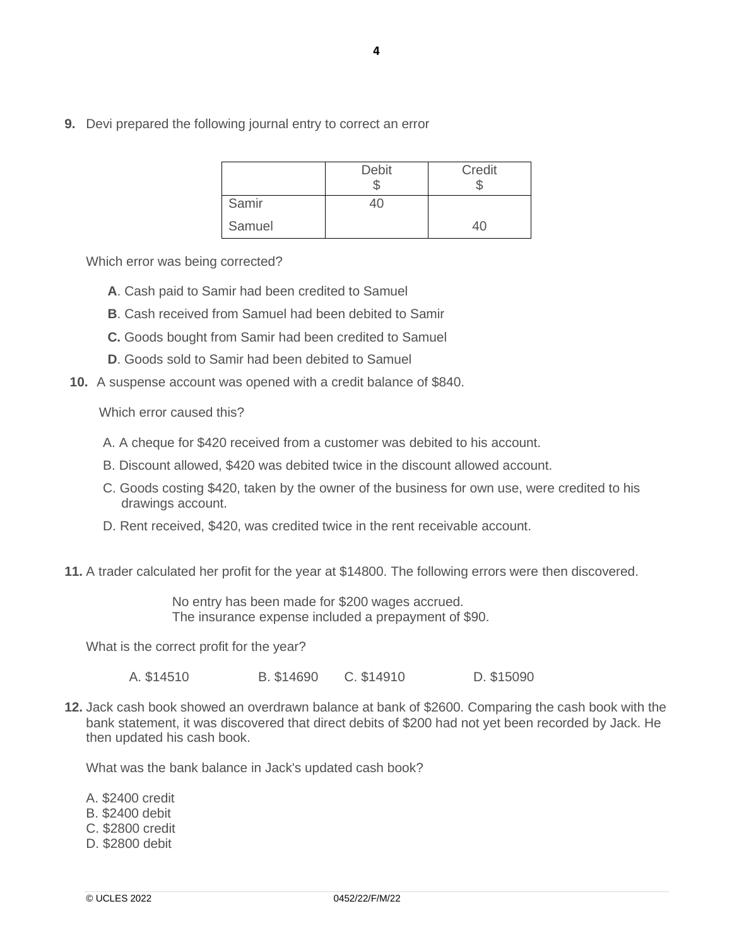**9.** Devi prepared the following journal entry to correct an error

|        | <b>Debit</b> | Credit       |
|--------|--------------|--------------|
| Samir  | 40           |              |
| Samuel |              | $40^{\circ}$ |

Which error was being corrected?

- **A**. Cash paid to Samir had been credited to Samuel
- **B**. Cash received from Samuel had been debited to Samir
- **C.** Goods bought from Samir had been credited to Samuel
- **D**. Goods sold to Samir had been debited to Samuel
- **10.** A suspense account was opened with a credit balance of \$840.

Which error caused this?

- A. A cheque for \$420 received from a customer was debited to his account.
- B. Discount allowed, \$420 was debited twice in the discount allowed account.
- C. Goods costing \$420, taken by the owner of the business for own use, were credited to his drawings account.
- D. Rent received, \$420, was credited twice in the rent receivable account.
- **11.** A trader calculated her profit for the year at \$14800. The following errors were then discovered.

No entry has been made for \$200 wages accrued. The insurance expense included a prepayment of \$90.

What is the correct profit for the year?

A. \$14510 B. \$14690 C. \$14910 D. \$15090

**12.** Jack cash book showed an overdrawn balance at bank of \$2600. Comparing the cash book with the bank statement, it was discovered that direct debits of \$200 had not yet been recorded by Jack. He then updated his cash book.

What was the bank balance in Jack's updated cash book?

A. \$2400 credit

- B. \$2400 debit
- C. \$2800 credit
- D. \$2800 debit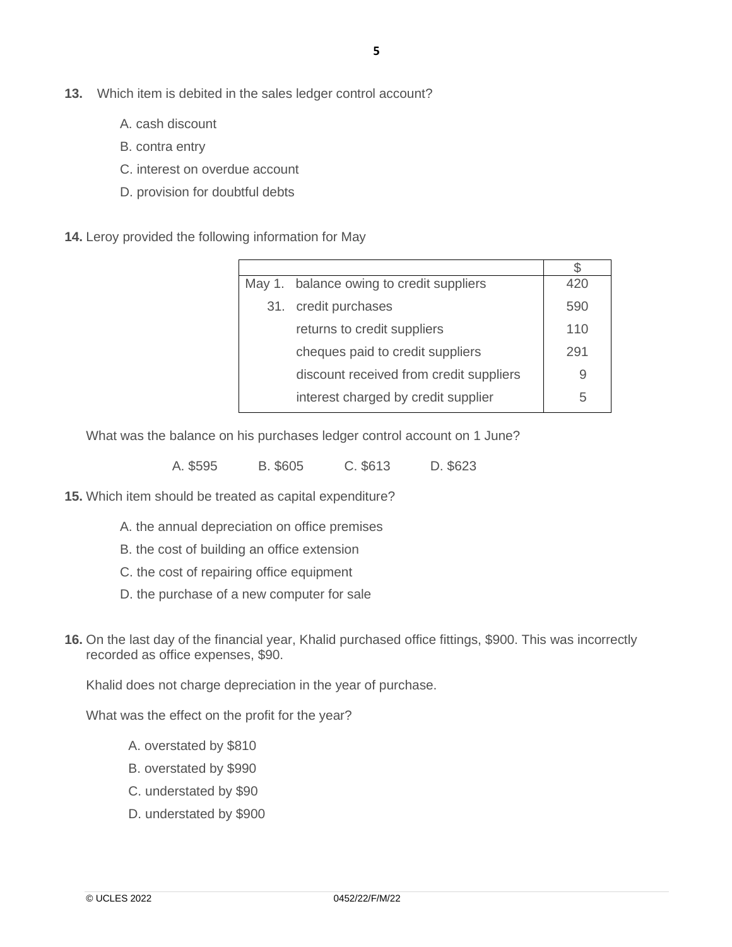- **13.** Which item is debited in the sales ledger control account?
	- A. cash discount
	- B. contra entry
	- C. interest on overdue account
	- D. provision for doubtful debts

**14.** Leroy provided the following information for May

| May 1. balance owing to credit suppliers | 420 |
|------------------------------------------|-----|
| 31. credit purchases                     | 590 |
| returns to credit suppliers              | 110 |
| cheques paid to credit suppliers         | 291 |
| discount received from credit suppliers  |     |
| interest charged by credit supplier      | 5   |

What was the balance on his purchases ledger control account on 1 June?

A. \$595 B. \$605 C. \$613 D. \$623

**15.** Which item should be treated as capital expenditure?

- A. the annual depreciation on office premises
- B. the cost of building an office extension
- C. the cost of repairing office equipment
- D. the purchase of a new computer for sale
- **16.** On the last day of the financial year, Khalid purchased office fittings, \$900. This was incorrectly recorded as office expenses, \$90.

Khalid does not charge depreciation in the year of purchase.

What was the effect on the profit for the year?

- A. overstated by \$810
- B. overstated by \$990
- C. understated by \$90
- D. understated by \$900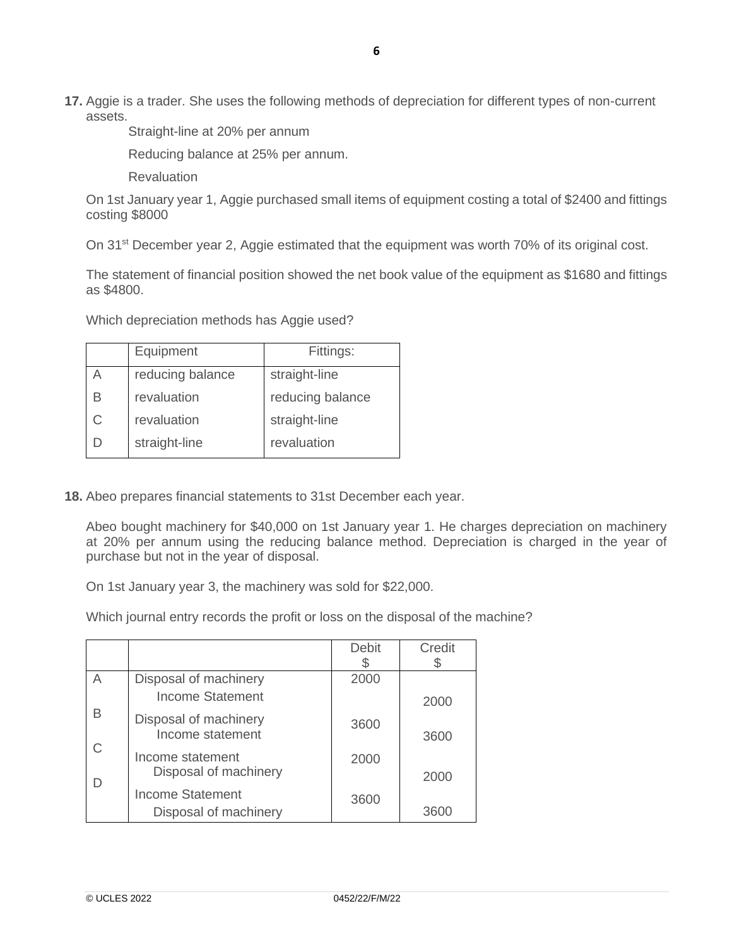**17.** Aggie is a trader. She uses the following methods of depreciation for different types of non-current assets.

Straight-line at 20% per annum

Reducing balance at 25% per annum.

**Revaluation** 

On 1st January year 1, Aggie purchased small items of equipment costing a total of \$2400 and fittings costing \$8000

On 31<sup>st</sup> December year 2, Aggie estimated that the equipment was worth 70% of its original cost.

The statement of financial position showed the net book value of the equipment as \$1680 and fittings as \$4800.

Which depreciation methods has Aggie used?

|   | Equipment        | Fittings:        |
|---|------------------|------------------|
|   | reducing balance | straight-line    |
| В | revaluation      | reducing balance |
| C | revaluation      | straight-line    |
|   | straight-line    | revaluation      |

**18.** Abeo prepares financial statements to 31st December each year.

Abeo bought machinery for \$40,000 on 1st January year 1. He charges depreciation on machinery at 20% per annum using the reducing balance method. Depreciation is charged in the year of purchase but not in the year of disposal.

On 1st January year 3, the machinery was sold for \$22,000.

Which journal entry records the profit or loss on the disposal of the machine?

|    |                                                  | <b>Debit</b> | Credit |
|----|--------------------------------------------------|--------------|--------|
|    |                                                  |              |        |
|    | Disposal of machinery                            | 2000         |        |
|    | <b>Income Statement</b>                          |              | 2000   |
| В  | Disposal of machinery<br>Income statement        | 3600         | 3600   |
| C. | Income statement<br>Disposal of machinery        | 2000         | 2000   |
| D  | <b>Income Statement</b><br>Disposal of machinery | 3600         | 3600   |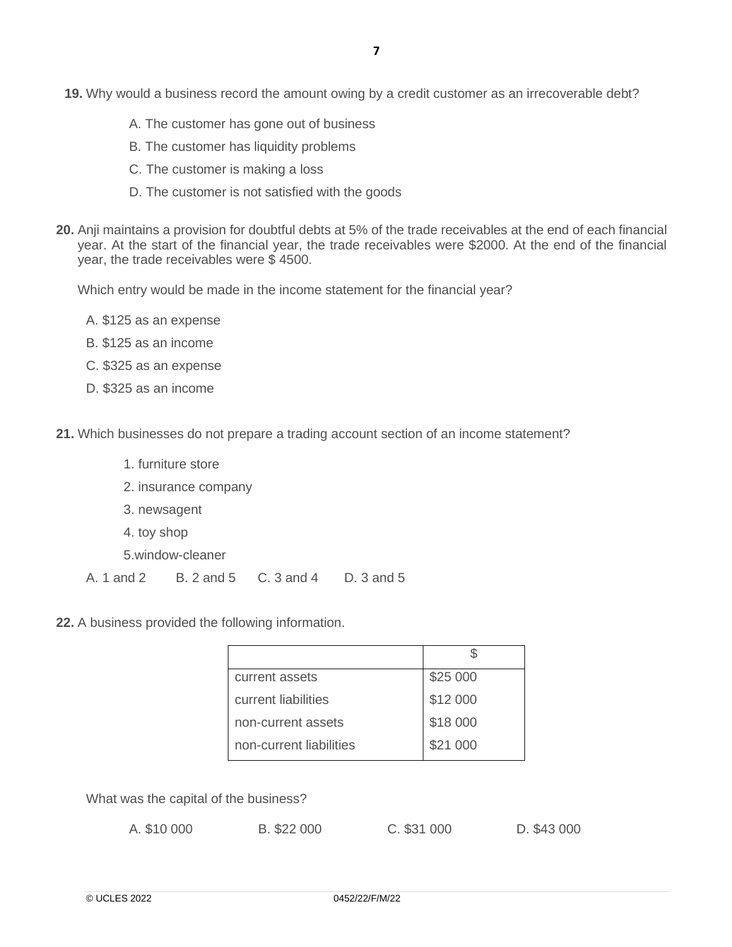- **19.** Why would a business record the amount owing by a credit customer as an irrecoverable debt?
	- A. The customer has gone out of business
	- B. The customer has liquidity problems
	- C. The customer is making a loss
	- D. The customer is not satisfied with the goods
- **20.** Anji maintains a provision for doubtful debts at 5% of the trade receivables at the end of each financial year. At the start of the financial year, the trade receivables were \$2000. At the end of the financial year, the trade receivables were \$ 4500.

Which entry would be made in the income statement for the financial year?

- A. \$125 as an expense
- B. \$125 as an income
- C. \$325 as an expense
- D. \$325 as an income
- **21.** Which businesses do not prepare a trading account section of an income statement?
	- 1. furniture store
	- 2. insurance company
	- 3. newsagent
	- 4. toy shop
	- 5.window-cleaner
	- A. 1 and 2 B. 2 and 5 C. 3 and 4 D. 3 and 5
- **22.** A business provided the following information.

| current assets          | \$25 000 |
|-------------------------|----------|
| current liabilities     | \$12 000 |
| non-current assets      | \$18 000 |
| non-current liabilities | \$21 000 |

What was the capital of the business?

| A. \$10 000 | B. \$22 000 | C. \$31 000 | D. \$43 000 |
|-------------|-------------|-------------|-------------|
|-------------|-------------|-------------|-------------|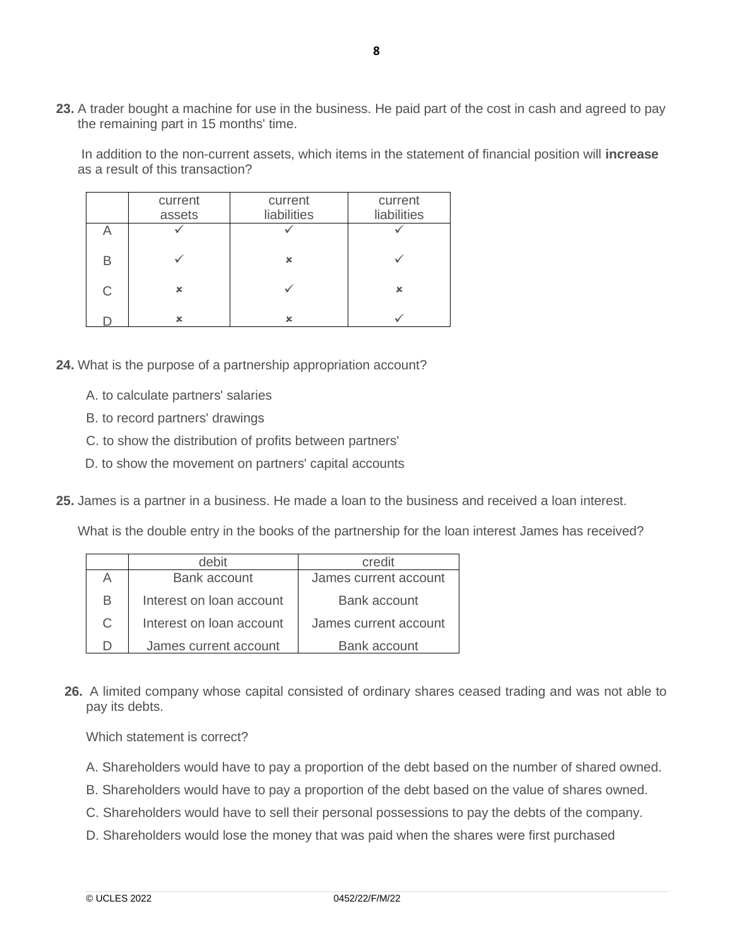**23.** A trader bought a machine for use in the business. He paid part of the cost in cash and agreed to pay the remaining part in 15 months' time.

In addition to the non-current assets, which items in the statement of financial position will **increase**  as a result of this transaction?

|              | current<br>assets | current<br>liabilities | current<br>liabilities |
|--------------|-------------------|------------------------|------------------------|
|              |                   |                        |                        |
| B            |                   | x                      |                        |
| $\mathsf{C}$ | ×                 |                        | ×                      |
|              | x                 | x                      |                        |

- **24.** What is the purpose of a partnership appropriation account?
	- A. to calculate partners' salaries
	- B. to record partners' drawings
	- C. to show the distribution of profits between partners'
	- D. to show the movement on partners' capital accounts
- **25.** James is a partner in a business. He made a loan to the business and received a loan interest.

What is the double entry in the books of the partnership for the loan interest James has received?

|   | debit                    | credit                |
|---|--------------------------|-----------------------|
|   | <b>Bank account</b>      | James current account |
| В | Interest on loan account | Bank account          |
| C | Interest on loan account | James current account |
|   | James current account    | Bank account          |

**26.** A limited company whose capital consisted of ordinary shares ceased trading and was not able to pay its debts.

Which statement is correct?

- A. Shareholders would have to pay a proportion of the debt based on the number of shared owned.
- B. Shareholders would have to pay a proportion of the debt based on the value of shares owned.
- C. Shareholders would have to sell their personal possessions to pay the debts of the company.
- D. Shareholders would lose the money that was paid when the shares were first purchased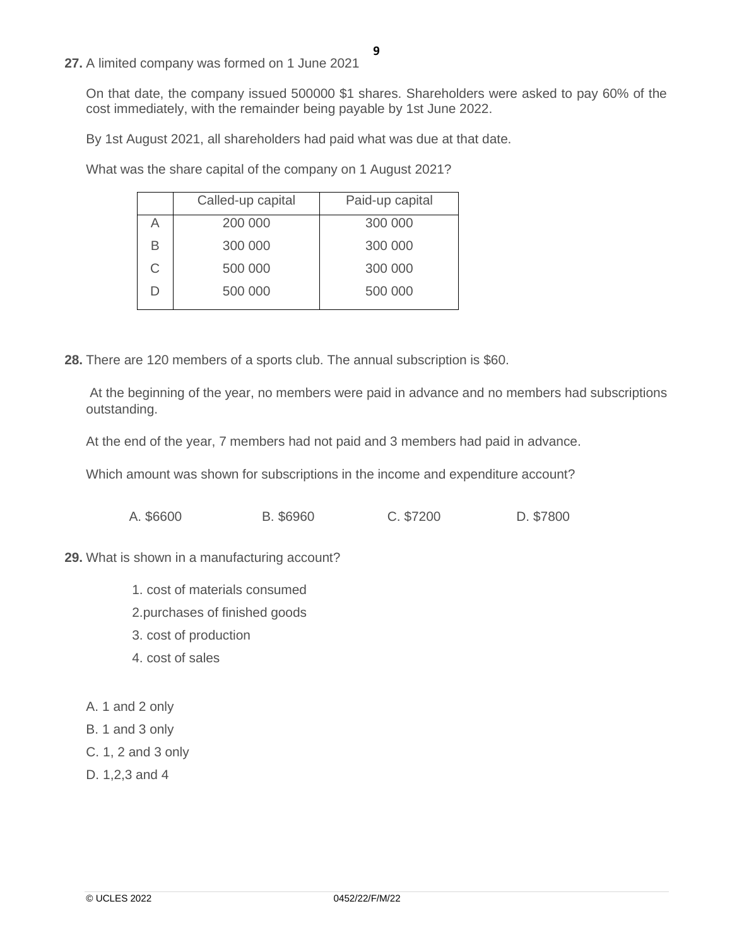**27.** A limited company was formed on 1 June 2021

On that date, the company issued 500000 \$1 shares. Shareholders were asked to pay 60% of the cost immediately, with the remainder being payable by 1st June 2022.

By 1st August 2021, all shareholders had paid what was due at that date.

What was the share capital of the company on 1 August 2021?

|   | Called-up capital | Paid-up capital |
|---|-------------------|-----------------|
| Α | 200 000           | 300 000         |
| В | 300 000           | 300 000         |
| C | 500 000           | 300 000         |
| D | 500 000           | 500 000         |

**28.** There are 120 members of a sports club. The annual subscription is \$60.

At the beginning of the year, no members were paid in advance and no members had subscriptions outstanding.

At the end of the year, 7 members had not paid and 3 members had paid in advance.

Which amount was shown for subscriptions in the income and expenditure account?

|  | A. \$6600 | B. \$6960 | C. \$7200 | D. \$7800 |
|--|-----------|-----------|-----------|-----------|
|--|-----------|-----------|-----------|-----------|

#### **29.** What is shown in a manufacturing account?

- 1. cost of materials consumed
- 2.purchases of finished goods
- 3. cost of production
- 4. cost of sales
- A. 1 and 2 only
- B. 1 and 3 only
- C. 1, 2 and 3 only
- D. 1,2,3 and 4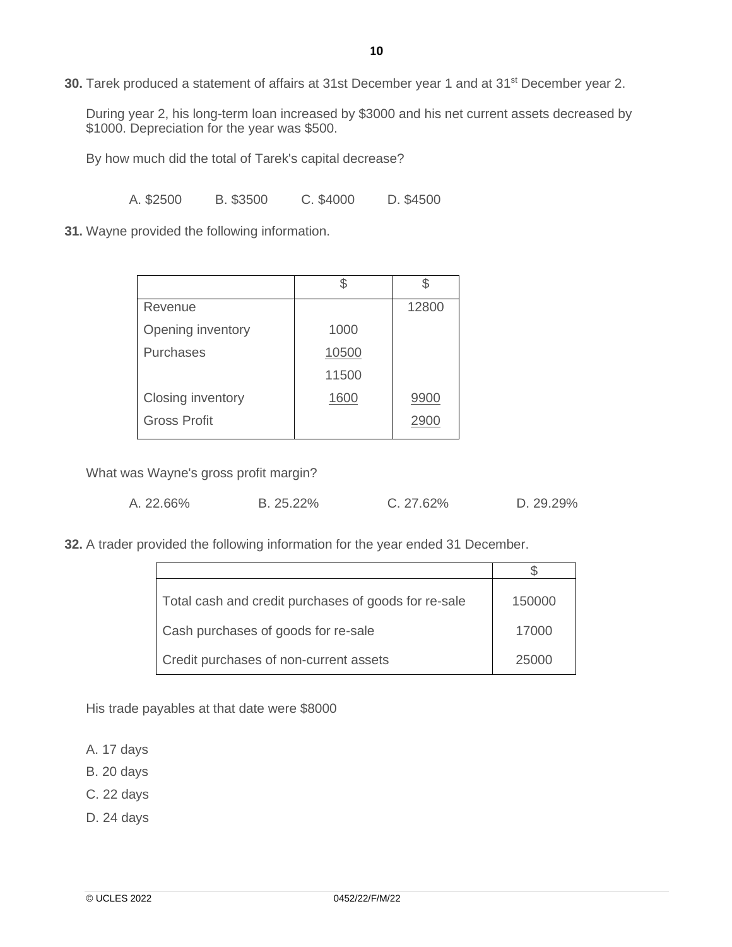**30.** Tarek produced a statement of affairs at 31st December year 1 and at 31<sup>st</sup> December year 2.

During year 2, his long-term loan increased by \$3000 and his net current assets decreased by \$1000. Depreciation for the year was \$500.

By how much did the total of Tarek's capital decrease?

A. \$2500 B. \$3500 C. \$4000 D. \$4500

**31.** Wayne provided the following information.

| Revenue             |       | 12800 |
|---------------------|-------|-------|
| Opening inventory   | 1000  |       |
| <b>Purchases</b>    | 10500 |       |
|                     | 11500 |       |
| Closing inventory   | 1600  | 9900  |
| <b>Gross Profit</b> |       |       |

What was Wayne's gross profit margin?

|  | A. 22.66% | B. 25.22% | C. 27.62% | D. 29.29% |
|--|-----------|-----------|-----------|-----------|
|--|-----------|-----------|-----------|-----------|

**32.** A trader provided the following information for the year ended 31 December.

| Total cash and credit purchases of goods for re-sale | 150000 |
|------------------------------------------------------|--------|
| Cash purchases of goods for re-sale                  | 17000  |
| Credit purchases of non-current assets               | 25000  |

His trade payables at that date were \$8000

A. 17 days

B. 20 days

- C. 22 days
- D. 24 days